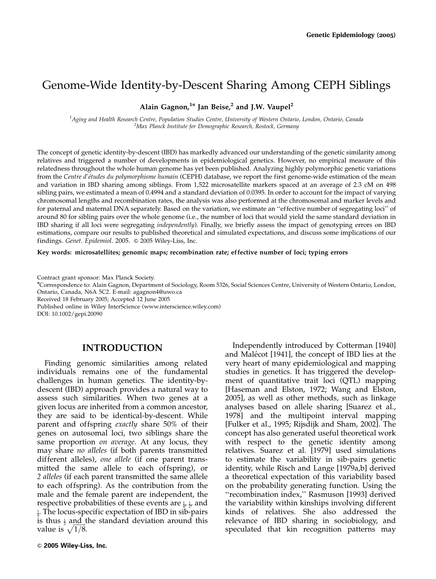# Genome-Wide Identity-by-Descent Sharing Among CEPH Siblings

## Alain Gagnon, $1*$  Jan Beise,<sup>2</sup> and J.W. Vaupel<sup>2</sup>

<sup>1</sup> Aging and Health Research Centre, Population Studies Centre, University of Western Ontario, London, Ontario, Canada<br><sup>2</sup> Max Planck Institute for Demographic Research, Rostock Cermany <sup>2</sup>Max Planck Institute for Demographic Research, Rostock, Germany

The concept of genetic identity-by-descent (IBD) has markedly advanced our understanding of the genetic similarity among relatives and triggered a number of developments in epidemiological genetics. However, no empirical measure of this relatedness throughout the whole human genome has yet been published. Analyzing highly polymorphic genetic variations from the Centre d'études du polymorphisme humain (CEPH) database, we report the first genome-wide estimation of the mean and variation in IBD sharing among siblings. From 1,522 microsatellite markers spaced at an average of 2.3 cM on 498 sibling pairs, we estimated a mean of 0.4994 and a standard deviation of 0.0395. In order to account for the impact of varying chromosomal lengths and recombination rates, the analysis was also performed at the chromosomal and marker levels and for paternal and maternal DNA separately. Based on the variation, we estimate an ''ef fective number of segregating loci'' of around 80 for sibling pairs over the whole genome (i.e., the number of loci that would yield the same standard deviation in IBD sharing if all loci were segregating independently). Finally, we briefly assess the impact of genotyping errors on IBD estimations, compare our results to published theoretical and simulated expectations, and discuss some implications of our findings. Genet. Epidemiol. 2005.  $\odot$  2005 Wiley-Liss, Inc.

#### Key words: microsatellites; genomic maps; recombination rate; effective number of loci; typing errors

Received 18 February 2005; Accepted 12 June 2005

Published online in Wiley InterScience (www.interscience.wiley.com)

DOI: 10.1002/gepi.20090

## INTRODUCTION

Finding genomic similarities among related individuals remains one of the fundamental challenges in human genetics. The identity-bydescent (IBD) approach provides a natural way to assess such similarities. When two genes at a given locus are inherited from a common ancestor, they are said to be identical-by-descent. While parent and offspring *exactly* share 50% of their genes on autosomal loci, two siblings share the same proportion *on average*. At any locus, they may share no alleles (if both parents transmitted different alleles), one allele (if one parent transmitted the same allele to each of fspring), or 2 alleles (if each parent transmitted the same allele to each of fspring). As the contribution from the male and the female parent are independent, the respective probabilities of these events are  $\frac{1}{4}$ ,  $\frac{1}{2}$ , and 1 4 . The locus-specific expectation of IBD in sib-pairs is thus  $\frac{1}{2}$  and the standard deviation around this is thus  $\frac{1}{2}$  and the value is  $\sqrt{1/8}$ .

Independently introduced by Cotterman [1940] and Malécot [1941], the concept of IBD lies at the very heart of many epidemiological and mapping studies in genetics. It has triggered the development of quantitative trait loci (QTL) mapping [Haseman and Elston, 1972; Wang and Elston, 2005], as well as other methods, such as linkage analyses based on allele sharing [Suarez et al., 1978] and the multipoint interval mapping [Fulker et al., 1995; Rijsdijk and Sham, 2002]. The concept has also generated useful theoretical work with respect to the genetic identity among relatives. Suarez et al. [1979] used simulations to estimate the variability in sib-pairs genetic identity, while Risch and Lange [1979a,b] derived a theoretical expectation of this variability based on the probability generating function. Using the ''recombination index,'' Rasmuson [1993] derived the variability within kinships involving dif ferent kinds of relatives. She also addressed the relevance of IBD sharing in sociobiology, and speculated that kin recognition patterns may

Contract grant sponsor: Max Planck Society.

n Correspondence to: Alain Gagnon, Department of Sociology, Room 5326, Social Sciences Centre, University of Western Ontario, London, Ontario, Canada, N6A 5C2. E-mail: agagnon4@uwo.ca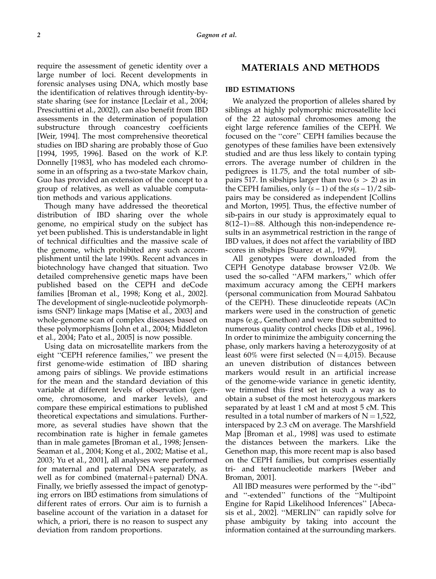require the assessment of genetic identity over a large number of loci. Recent developments in forensic analyses using DNA, which mostly base the identification of relatives through identity-bystate sharing (see for instance [Leclair et al., 2004; Presciuttini et al., 2002]), can also benefit from IBD assessments in the determination of population substructure through coancestry coefficients [Weir, 1994]. The most comprehensive theoretical studies on IBD sharing are probably those of Guo [1994, 1995, 1996]. Based on the work of K.P. Donnelly [1983], who has modeled each chromosome in an offspring as a two-state Markov chain, Guo has provided an extension of the concept to a group of relatives, as well as valuable computation methods and various applications.

Though many have addressed the theoretical distribution of IBD sharing over the whole genome, no empirical study on the subject has yet been published. This is understandable in light of technical dif ficulties and the massive scale of the genome, which prohibited any such accomplishment until the late 1990s. Recent advances in biotechnology have changed that situation. Two detailed comprehensive genetic maps have been published based on the CEPH and deCode families [Broman et al., 1998; Kong et al., 2002]. The development of single-nucleotide polymorphisms (SNP) linkage maps [Matise et al., 2003] and whole-genome scan of complex diseases based on these polymorphisms [John et al., 2004; Middleton et al., 2004; Pato et al., 2005] is now possible.

Using data on microsatellite markers from the eight ''CEPH reference families,'' we present the first genome-wide estimation of IBD sharing among pairs of siblings. We provide estimations for the mean and the standard deviation of this variable at different levels of observation (genome, chromosome, and marker levels), and compare these empirical estimations to published theoretical expectations and simulations. Furthermore, as several studies have shown that the recombination rate is higher in female gametes than in male gametes [Broman et al., 1998; Jensen-Seaman et al., 2004; Kong et al., 2002; Matise et al., 2003; Yu et al., 2001], all analyses were performed for maternal and paternal DNA separately, as well as for combined (maternal+paternal) DNA. Finally, we briefly assessed the impact of genotyping errors on IBD estimations from simulations of dif ferent rates of errors. Our aim is to furnish a baseline account of the variation in a dataset for which, a priori, there is no reason to suspect any deviation from random proportions.

## MATERIALS AND METHODS

#### IBD ESTIMATIONS

We analyzed the proportion of alleles shared by siblings at highly polymorphic microsatellite loci of the 22 autosomal chromosomes among the eight large reference families of the CEPH. We focused on the ''core'' CEPH families because the genotypes of these families have been extensively studied and are thus less likely to contain typing errors. The average number of children in the pedigrees is 11.75, and the total number of sibpairs 517. In sibships larger than two  $(s > 2)$  as in the CEPH families, only  $(s - 1)$  of the  $s(s - 1)/2$  sibpairs may be considered as independent [Collins and Morton, 1995]. Thus, the effective number of sib-pairs in our study is approximately equal to  $8(12-1)=88$ . Although this non-independence results in an asymmetrical restriction in the range of IBD values, it does not affect the variability of IBD scores in sibships [Suarez et al., 1979].

All genotypes were downloaded from the CEPH Genotype database browser V2.0b. We used the so-called ''AFM markers,'' which offer maximum accuracy among the CEPH markers (personal communication from Mourad Sahbatou of the CEPH). These dinucleotide repeats (AC)n markers were used in the construction of genetic maps (e.g., Genethon) and were thus submitted to numerous quality control checks [Dib et al., 1996]. In order to minimize the ambiguity concerning the phase, only markers having a heterozygosity of at least 60% were first selected  $(N = 4.015)$ . Because an uneven distribution of distances between markers would result in an artificial increase of the genome-wide variance in genetic identity, we trimmed this first set in such a way as to obtain a subset of the most heterozygous markers separated by at least 1 cM and at most 5 cM. This resulted in a total number of markers of  $N = 1,522$ , interspaced by 2.3 cM on average. The Marshfield Map [Broman et al., 1998] was used to estimate the distances between the markers. Like the Genethon map, this more recent map is also based on the CEPH families, but comprises essentially tri- and tetranucleotide markers [Weber and Broman, 2001].

All IBD measures were performed by the ''-ibd'' and ''-extended'' functions of the ''Multipoint Engine for Rapid Likelihood Inferences'' [Abecasis et al., 2002]. ''MERLIN'' can rapidly solve for phase ambiguity by taking into account the information contained at the surrounding markers.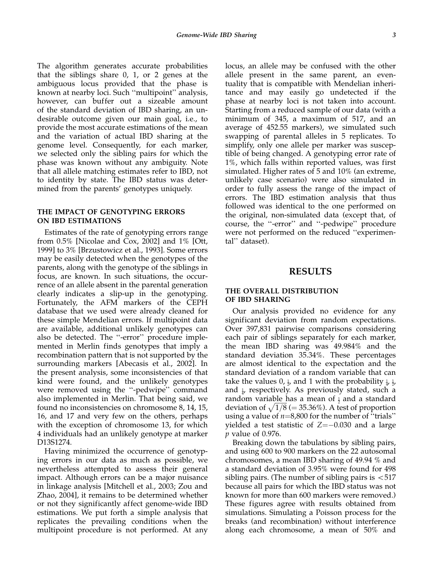The algorithm generates accurate probabilities that the siblings share 0, 1, or 2 genes at the ambiguous locus provided that the phase is known at nearby loci. Such ''multipoint'' analysis, however, can buffer out a sizeable amount of the standard deviation of IBD sharing, an undesirable outcome given our main goal, i.e., to provide the most accurate estimations of the mean and the variation of actual IBD sharing at the genome level. Consequently, for each marker, we selected only the sibling pairs for which the phase was known without any ambiguity. Note that all allele matching estimates refer to IBD, not to identity by state. The IBD status was determined from the parents' genotypes uniquely.

#### THE IMPACT OF GENOTYPING ERRORS ON IBD ESTIMATIONS

Estimates of the rate of genotyping errors range from 0.5% [Nicolae and Cox, 2002] and 1% [Ott, 1999] to 3% [Brzustowicz et al., 1993]. Some errors may be easily detected when the genotypes of the parents, along with the genotype of the siblings in focus, are known. In such situations, the occurrence of an allele absent in the parental generation clearly indicates a slip-up in the genotyping. Fortunately, the AFM markers of the CEPH database that we used were already cleaned for these simple Mendelian errors. If multipoint data are available, additional unlikely genotypes can also be detected. The ''-error'' procedure implemented in Merlin finds genotypes that imply a recombination pattern that is not supported by the surrounding markers [Abecasis et al., 2002]. In the present analysis, some inconsistencies of that kind were found, and the unlikely genotypes were removed using the "-pedwipe" command also implemented in Merlin. That being said, we found no inconsistencies on chromosome 8, 14, 15, 16, and 17 and very few on the others, perhaps with the exception of chromosome 13, for which 4 individuals had an unlikely genotype at marker D13S1274.

Having minimized the occurrence of genotyping errors in our data as much as possible, we nevertheless attempted to assess their general impact. Although errors can be a major nuisance in linkage analysis [Mitchell et al., 2003; Zou and Zhao, 2004], it remains to be determined whether or not they significantly affect genome-wide IBD estimations. We put forth a simple analysis that replicates the prevailing conditions when the multipoint procedure is not performed. At any locus, an allele may be confused with the other allele present in the same parent, an eventuality that is compatible with Mendelian inheritance and may easily go undetected if the phase at nearby loci is not taken into account. Starting from a reduced sample of our data (with a minimum of 345, a maximum of 517, and an average of 452.55 markers), we simulated such swapping of parental alleles in 5 replicates. To simplify, only one allele per marker was susceptible of being changed. A genotyping error rate of 1%, which falls within reported values, was first simulated. Higher rates of 5 and 10% (an extreme, unlikely case scenario) were also simulated in order to fully assess the range of the impact of errors. The IBD estimation analysis that thus followed was identical to the one performed on the original, non-simulated data (except that, of course, the ''-error'' and ''-pedwipe'' procedure were not performed on the reduced ''experimental'' dataset).

#### RESULTS

#### THE OVERALL DISTRIBUTION OF IBD SHARING

Our analysis provided no evidence for any significant deviation from random expectations. Over 397,831 pairwise comparisons considering each pair of siblings separately for each marker, the mean IBD sharing was 49.984% and the standard deviation 35.34%. These percentages are almost identical to the expectation and the standard deviation of a random variable that can take the values 0,  $\frac{1}{2}$ , and 1 with the probability  $\frac{1}{4}$ ,  $\frac{1}{2}$ , and <sup>1</sup> 4 , respectively. As previously stated, such a random variable has a mean of <sub>1</sub> and a standard random variable has a mean of  $\frac{1}{2}$  and a standard deviation of  $\sqrt{1/8}$  (= 35.36%). A test of proportion using a value of  $n=8,800$  for the number of "trials" yielded a test statistic of  $Z=-0.030$  and a large p value of 0.976.

Breaking down the tabulations by sibling pairs, and using 600 to 900 markers on the 22 autosomal chromosomes, a mean IBD sharing of 49.94 % and a standard deviation of 3.95% were found for 498 sibling pairs. (The number of sibling pairs is  $< 517$ because all pairs for which the IBD status was not known for more than 600 markers were removed.) These figures agree with results obtained from simulations. Simulating a Poisson process for the breaks (and recombination) without interference along each chromosome, a mean of 50% and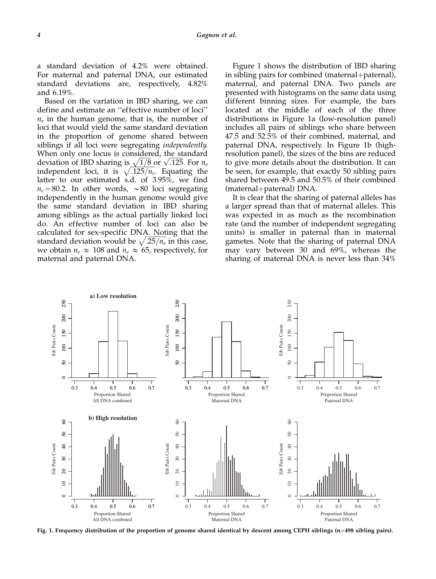a standard deviation of 4.2% were obtained. For maternal and paternal DNA, our estimated standard deviations are, respectively, 4.82% and 6.19%.

Based on the variation in IBD sharing, we can define and estimate an ''effective number of loci''  $n_e$  in the human genome, that is, the number of loci that would yield the same standard deviation in the proportion of genome shared between siblings if all loci were segregating independently. When only one locus is considered, the standard when only one locus is considered, the standard deviation of IBD sharing is  $\sqrt{1/8}$  or  $\sqrt{.125}$ . For  $n_e$ independent loci, it is  $\sqrt{.125/n_e}$ . Equating the latter to our estimated s.d. of 3.95%, we find  $n_e = 80.2$ . In other words,  $\sim 80$  loci segregating independently in the human genome would give the same standard deviation in IBD sharing among siblings as the actual partially linked loci do. An effective number of loci can also be calculated for sex-specific DNA. Noting that the calculated for sex-spectric DNA. Noting that the standard deviation would be  $\sqrt{.25/n_e}$  in this case, we obtain  $n_e \approx 108$  and  $n_e \approx 65$ , respectively, for maternal and paternal DNA.

Figure 1 shows the distribution of IBD sharing in sibling pairs for combined (maternal+paternal), maternal, and paternal DNA. Two panels are presented with histograms on the same data using dif ferent binning sizes. For example, the bars located at the middle of each of the three distributions in Figure 1a (low-resolution panel) includes all pairs of siblings who share between 47.5 and 52.5% of their combined, maternal, and paternal DNA, respectively. In Figure 1b (highresolution panel), the sizes of the bins are reduced to give more details about the distribution. It can be seen, for example, that exactly 50 sibling pairs shared between 49.5 and 50.5% of their combined (maternal+paternal) DNA.

It is clear that the sharing of paternal alleles has a larger spread than that of maternal alleles. This was expected in as much as the recombination rate (and the number of independent segregating units) is smaller in paternal than in maternal gametes. Note that the sharing of paternal DNA may vary between 30 and 69%, whereas the sharing of maternal DNA is never less than 34%



Fig. 1. Frequency distribution of the proportion of genome shared identical by descent among CEPH siblings (n=498 sibling pairs).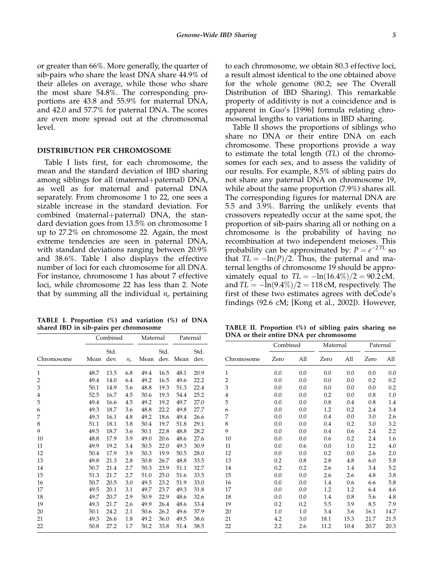or greater than 66%. More generally, the quarter of sib-pairs who share the least DNA share 44.9% of their alleles on average, while those who share the most share 54.8%. The corresponding proportions are 43.8 and 55.9% for maternal DNA, and 42.0 and 57.7% for paternal DNA. The scores are even more spread out at the chromosomal level.

#### DISTRIBUTION PER CHROMOSOME

Table I lists first, for each chromosome, the mean and the standard deviation of IBD sharing among siblings for all (maternal+paternal) DNA, as well as for maternal and paternal DNA separately. From chromosome 1 to 22, one sees a sizable increase in the standard deviation. For combined (maternal+paternal) DNA, the standard deviation goes from 13.5% on chromosome 1 up to 27.2% on chromosome 22. Again, the most extreme tendencies are seen in paternal DNA, with standard deviations ranging between 20.9% and 38.6%. Table I also displays the effective number of loci for each chromosome for all DNA. For instance, chromosome 1 has about 7 effective loci, while chromosome 22 has less than 2. Note that by summing all the individual  $n_e$  pertaining

TABLE I. Proportion (%) and variation (%) of DNA shared IBD in sib-pairs per chromosome

to each chromosome, we obtain 80.3 ef fective loci, a result almost identical to the one obtained above for the whole genome (80.2; see The Overall Distribution of IBD Sharing). This remarkable property of additivity is not a coincidence and is apparent in Guo's [1996] formula relating chromosomal lengths to variations in IBD sharing.

Table II shows the proportions of siblings who share no DNA or their entire DNA on each chromosome. These proportions provide a way to estimate the total length (TL) of the chromosomes for each sex, and to assess the validity of our results. For example, 8.5% of sibling pairs do not share any paternal DNA on chromosome 19, while about the same proportion (7.9%) shares all. The corresponding figures for maternal DNA are 5.5 and 3.9%. Barring the unlikely events that crossovers repeatedly occur at the same spot, the proportion of sib-pairs sharing all or nothing on a chromosome is the probability of having no recombination at two independent meioses. This probability can be approximated by:  $P = e^{-2TL}$  so that  $TL = -\ln(P)/2$ . Thus, the paternal and maternal lengths of chromosome 19 should be approximately equal to  $TL = -\ln(16.4\%)/2 = 90.2 \text{ cM}$ , and  $TL = -\ln(9.4\%)/2 = 118$  cM, respectively. The first of these two estimates agrees with deCode's findings (92.6 cM; [Kong et al., 2002]). However,

|            | Combined |              | Maternal |      | Paternal     |      |              |
|------------|----------|--------------|----------|------|--------------|------|--------------|
| Chromosome | Mean     | Std.<br>dev. | $n_e$    | Mean | Std.<br>dev. | Mean | Std.<br>dev. |
| 1          | 48.7     | 13.5         | 6.8      | 49.4 | 16.5         | 48.1 | 20.9         |
| 2          | 49.4     | 14.0         | 6.4      | 49.2 | 16.5         | 49.6 | 22.2         |
| 3          | 50.1     | 14.9         | 5.6      | 48.8 | 19.3         | 51.3 | 22.4         |
| 4          | 52.5     | 16.7         | 4.5      | 50.6 | 19.3         | 54.4 | 25.2         |
| 5          | 49.4     | 16.6         | 4.5      | 49.2 | 19.2         | 49.7 | 27.0         |
| 6          | 49.3     | 18.7         | 3.6      | 48.8 | 22.2         | 49.8 | 27.7         |
| 7          | 49.3     | 16.1         | 4.8      | 49.2 | 18.6         | 49.4 | 26.6         |
| 8          | 51.1     | 18.1         | 3.8      | 50.4 | 19.7         | 51.8 | 29.1         |
| 9          | 49.5     | 18.7         | 3.6      | 50.1 | 22.8         | 48.8 | 28.2         |
| 10         | 48.8     | 17.9         | 3.9      | 49.0 | 20.6         | 48.6 | 27.6         |
| 11         | 49.9     | 19.2         | 3.4      | 50.5 | 22.0         | 49.3 | 30.9         |
| 12         | 50.4     | 17.9         | 3.9      | 50.3 | 19.9         | 50.5 | 28.0         |
| 13         | 49.8     | 21.3         | 2.8      | 50.8 | 26.7         | 48.8 | 33.5         |
| 14         | 50.7     | 21.4         | 2.7      | 50.3 | 23.9         | 51.1 | 32.7         |
| 15         | 51.3     | 21.7         | 2.7      | 51.0 | 25.0         | 51.6 | 33.5         |
| 16         | 50.7     | 20.5         | 3.0      | 49.5 | 23.2         | 51.9 | 33.0         |
| 17         | 49.5     | 20.1         | 3.1      | 49.7 | 23.7         | 49.3 | 31.8         |
| 18         | 49.7     | 20.7         | 2.9      | 50.9 | 22.9         | 48.6 | 32.6         |
| 19         | 49.3     | 21.7         | 2.6      | 49.9 | 26.4         | 48.6 | 33.4         |
| 20         | 50.1     | 24.2         | 2.1      | 50.6 | 26.2         | 49.6 | 37.9         |
| 21         | 49.3     | 26.6         | 1.8      | 49.2 | 36.0         | 49.5 | 38.6         |
| 22         | 50.8     | 27.2         | 1.7      | 50.2 | 33.8         | 51.4 | 38.5         |

TABLE II. Proportion (%) of sibling pairs sharing no DNA or their entire DNA per chromosome

|            | Combined |     | Maternal |      | Paternal |      |
|------------|----------|-----|----------|------|----------|------|
| Chromosome | Zero     | All | Zero     | All  | Zero     | All  |
| 1          | 0.0      | 0.0 | 0.0      | 0.0  | 0.0      | 0.0  |
| 2          | 0.0      | 0.0 | 0.0      | 0.0  | 0.2      | 0.2  |
| 3          | 0.0      | 0.0 | $0.0\,$  | 0.0  | $0.0\,$  | 0.2  |
| 4          | 0.0      | 0.0 | 0.2      | 0.0  | 0.8      | 1.0  |
| 5          | 0.0      | 0.0 | 0.8      | 0.4  | $0.8\,$  | 1.4  |
| 6          | 0.0      | 0.0 | 1.2      | 0.2  | 2.4      | 3.4  |
| 7          | 0.0      | 0.0 | 0.4      | 0.0  | 3.0      | 2.6  |
| 8          | 0.0      | 0.0 | 0.4      | 0.2  | 3.0      | 3.2  |
| 9          | 0.0      | 0.0 | 0.4      | 0.6  | 2.4      | 2.2  |
| 10         | 0.0      | 0.0 | 0.6      | 0.2  | 2.4      | 1.6  |
| 11         | 0.0      | 0.6 | 0.0      | 1.0  | 2.2      | 4.0  |
| 12         | 0.0      | 0.0 | 0.2      | 0.0  | 2.6      | 2.0  |
| 13         | 0.2      | 0.8 | 2.8      | 4.8  | 6.0      | 5.8  |
| 14         | 0.2      | 0.2 | 2.6      | 1.4  | 3.4      | 5.2  |
| 15         | 0.0      | 0.0 | 2.6      | 2.6  | 4.8      | 3.8  |
| 16         | 0.0      | 0.0 | 1.4      | 0.6  | 6.6      | 5.8  |
| 17         | 0.0      | 0.0 | 1.2      | 1.2  | 6.4      | 4.6  |
| 18         | 0.0      | 0.0 | 1.4      | 0.8  | 5.6      | 4.8  |
| 19         | 0.2      | 0.2 | 5.5      | 3.9  | 8.5      | 7.9  |
| 20         | 1.0      | 1.0 | 3.4      | 3.6  | 16.1     | 14.7 |
| 21         | 4.2      | 3.0 | 18.1     | 15.3 | 21.7     | 21.5 |
| 22         | 2.2      | 2.6 | 11.2     | 10.4 | 20.7     | 20.3 |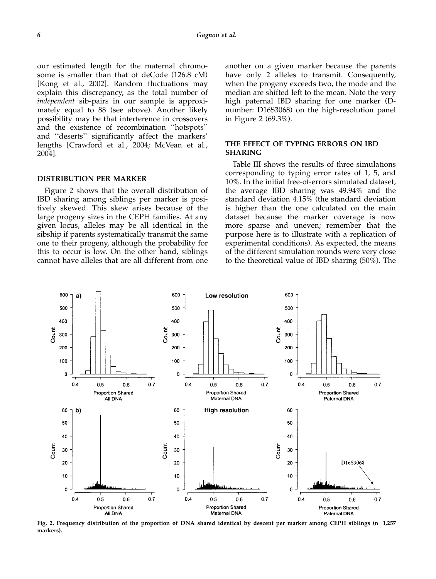our estimated length for the maternal chromosome is smaller than that of deCode (126.8 cM) [Kong et al., 2002]. Random fluctuations may explain this discrepancy, as the total number of independent sib-pairs in our sample is approximately equal to 88 (see above). Another likely possibility may be that interference in crossovers and the existence of recombination ''hotspots'' and ''deserts'' significantly affect the markers' lengths [Crawford et al., 2004; McVean et al., 2004].

#### DISTRIBUTION PER MARKER

Figure 2 shows that the overall distribution of IBD sharing among siblings per marker is positively skewed. This skew arises because of the large progeny sizes in the CEPH families. At any given locus, alleles may be all identical in the sibship if parents systematically transmit the same one to their progeny, although the probability for this to occur is low. On the other hand, siblings cannot have alleles that are all dif ferent from one another on a given marker because the parents have only 2 alleles to transmit. Consequently, when the progeny exceeds two, the mode and the median are shifted left to the mean. Note the very high paternal IBD sharing for one marker (Dnumber: D16S3068) on the high-resolution panel in Figure 2 (69.3%).

#### THE EFFECT OF TYPING ERRORS ON IBD SHARING

Table III shows the results of three simulations corresponding to typing error rates of 1, 5, and 10%. In the initial free-of-errors simulated dataset, the average IBD sharing was 49.94% and the standard deviation 4.15% (the standard deviation is higher than the one calculated on the main dataset because the marker coverage is now more sparse and uneven; remember that the purpose here is to illustrate with a replication of experimental conditions). As expected, the means of the dif ferent simulation rounds were very close to the theoretical value of IBD sharing (50%). The



Fig. 2. Frequency distribution of the proportion of DNA shared identical by descent per marker among CEPH siblings  $(n=1,257)$ markers).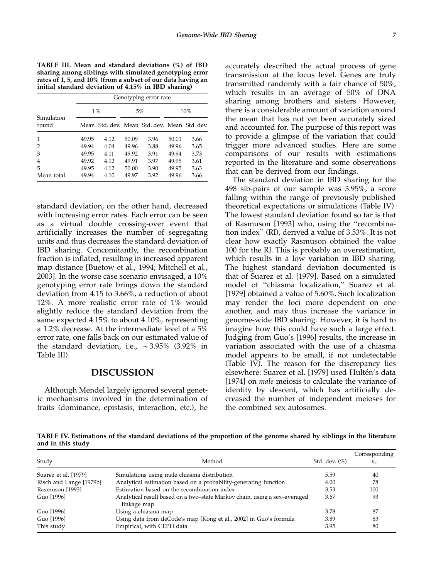TABLE III. Mean and standard deviations (%) of IBD sharing among siblings with simulated genotyping error rates of 1, 5, and 10% (from a subset of our data having an initial standard deviation of 4.15% in IBD sharing)

|                     |       | Genotyping error rate |       |                                              |       |      |  |  |
|---------------------|-------|-----------------------|-------|----------------------------------------------|-------|------|--|--|
|                     |       | $1\%$                 |       | 5%                                           | 10%   |      |  |  |
| Simulation<br>round |       |                       |       | Mean Std. dev. Mean Std. dev. Mean Std. dev. |       |      |  |  |
| $\mathbf{1}$        | 49.95 | 4.12                  | 50.09 | 3.96                                         | 50.01 | 3.66 |  |  |
| 2                   | 49.94 | 4.04                  | 49.96 | 3.88                                         | 49.96 | 3.65 |  |  |
| 3                   | 49.95 | 4.11                  | 49.92 | 3.91                                         | 49.94 | 3.73 |  |  |
| $\overline{4}$      | 49.92 | 4.12                  | 49.91 | 3.97                                         | 49.95 | 3.61 |  |  |
| 5                   | 49.95 | 4.12                  | 50.00 | 3.90                                         | 49.95 | 3.63 |  |  |
| Mean total          | 49.94 | 4.10                  | 49.97 | 3.92                                         | 49.96 | 3.66 |  |  |

standard deviation, on the other hand, decreased with increasing error rates. Each error can be seen as a virtual double crossing-over event that artificially increases the number of segregating units and thus decreases the standard deviation of IBD sharing. Concomitantly, the recombination fraction is inflated, resulting in increased apparent map distance [Buetow et al., 1994; Mitchell et al., 2003]. In the worse case scenario envisaged, a 10% genotyping error rate brings down the standard deviation from 4.15 to 3.66%, a reduction of about 12%. A more realistic error rate of 1% would slightly reduce the standard deviation from the same expected 4.15% to about 4.10%, representing a 1.2% decrease. At the intermediate level of a 5% error rate, one falls back on our estimated value of the standard deviation, i.e.,  $\sim$ 3.95% (3.92% in Table III).

## DISCUSSION

Although Mendel largely ignored several genetic mechanisms involved in the determination of traits (dominance, epistasis, interaction, etc.), he accurately described the actual process of gene transmission at the locus level. Genes are truly transmitted randomly with a fair chance of 50%, which results in an average of 50% of DNA sharing among brothers and sisters. However, there is a considerable amount of variation around the mean that has not yet been accurately sized and accounted for. The purpose of this report was to provide a glimpse of the variation that could trigger more advanced studies. Here are some comparisons of our results with estimations reported in the literature and some observations that can be derived from our findings.

The standard deviation in IBD sharing for the 498 sib-pairs of our sample was 3.95%, a score falling within the range of previously published theoretical expectations or simulations (Table IV). The lowest standard deviation found so far is that of Rasmuson [1993] who, using the ''recombination index'' (RI), derived a value of 3.53%. It is not clear how exactly Rasmuson obtained the value 100 for the RI. This is probably an overestimation, which results in a low variation in IBD sharing. The highest standard deviation documented is that of Suarez et al. [1979]. Based on a simulated model of ''chiasma localization,'' Suarez et al. [1979] obtained a value of 5.60%. Such localization may render the loci more dependent on one another, and may thus increase the variance in genome-wide IBD sharing. However, it is hard to imagine how this could have such a large effect. Judging from Guo's [1996] results, the increase in variation associated with the use of a chiasma model appears to be small, if not undetectable (Table IV). The reason for the discrepancy lies elsewhere: Suarez et al. [1979] used Hultén's data [1974] on *male* meiosis to calculate the variance of identity by descent, which has artificially decreased the number of independent meioses for the combined sex autosomes.

TABLE IV. Estimations of the standard deviations of the proportion of the genome shared by siblings in the literature and in this study

| Study                   | Method                                                                                   | Std. dev. $(\%)$ | Corresponding<br>$n_e$ |
|-------------------------|------------------------------------------------------------------------------------------|------------------|------------------------|
| Suarez et al. [1979]    | Simulations using male chiasma distribution                                              | 5.59             | 40                     |
| Risch and Lange [1979b] | Analytical estimation based on a probability-generating function                         | 4.00             | 78                     |
| Rasmuson [1993]         | Estimation based on the recombination index                                              | 3.53             | 100                    |
| Guo [1996]              | Analytical result based on a two-state Markov chain, using a sex-averaged<br>linkage map | 3.67             | 93                     |
| Guo [1996]              | Using a chiasma map                                                                      | 3.78             | 87                     |
| Guo [1996]              | Using data from deCode's map [Kong et al., 2002] in Guo's formula                        | 3.89             | 83                     |
| This study              | Empirical, with CEPH data                                                                | 3.95             | 80                     |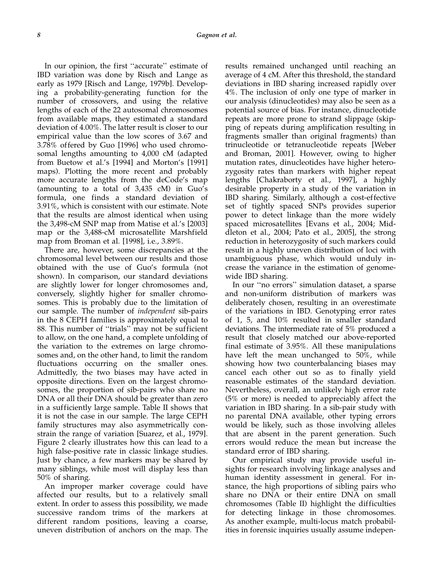In our opinion, the first ''accurate'' estimate of IBD variation was done by Risch and Lange as early as 1979 [Risch and Lange, 1979b]. Developing a probability-generating function for the number of crossovers, and using the relative lengths of each of the 22 autosomal chromosomes from available maps, they estimated a standard deviation of 4.00%. The latter result is closer to our empirical value than the low scores of 3.67 and 3.78% of fered by Guo [1996] who used chromosomal lengths amounting to 4,000 cM (adapted from Buetow et al.'s [1994] and Morton's [1991] maps). Plotting the more recent and probably more accurate lengths from the deCode's map (amounting to a total of 3,435 cM) in Guo's formula, one finds a standard deviation of 3.91%, which is consistent with our estimate. Note that the results are almost identical when using the 3,498-cM SNP map from Matise et al.'s [2003] map or the 3,488-cM microsatellite Marshfield map from Broman et al. [1998], i.e., 3.89%.

There are, however, some discrepancies at the chromosomal level between our results and those obtained with the use of Guo's formula (not shown). In comparison, our standard deviations are slightly lower for longer chromosomes and, conversely, slightly higher for smaller chromosomes. This is probably due to the limitation of our sample. The number of independent sib-pairs in the 8 CEPH families is approximately equal to 88. This number of ''trials'' may not be sufficient to allow, on the one hand, a complete unfolding of the variation to the extremes on large chromosomes and, on the other hand, to limit the random fluctuations occurring on the smaller ones. Admittedly, the two biases may have acted in opposite directions. Even on the largest chromosomes, the proportion of sib-pairs who share no DNA or all their DNA should be greater than zero in a sufficiently large sample. Table II shows that it is not the case in our sample. The large CEPH family structures may also asymmetrically constrain the range of variation [Suarez, et al., 1979]. Figure 2 clearly illustrates how this can lead to a high false-positive rate in classic linkage studies. Just by chance, a few markers may be shared by many siblings, while most will display less than 50% of sharing.

An improper marker coverage could have affected our results, but to a relatively small extent. In order to assess this possibility, we made successive random trims of the markers at different random positions, leaving a coarse, uneven distribution of anchors on the map. The results remained unchanged until reaching an average of 4 cM. After this threshold, the standard deviations in IBD sharing increased rapidly over 4%. The inclusion of only one type of marker in our analysis (dinucleotides) may also be seen as a potential source of bias. For instance, dinucleotide repeats are more prone to strand slippage (skipping of repeats during amplification resulting in fragments smaller than original fragments) than trinucleotide or tetranucleotide repeats [Weber and Broman, 2001]. However, owing to higher mutation rates, dinucleotides have higher heterozygosity rates than markers with higher repeat lengths [Chakraborty et al., 1997], a highly desirable property in a study of the variation in IBD sharing. Similarly, although a cost-ef fective set of tightly spaced SNPs provides superior power to detect linkage than the more widely spaced microsatellites [Evans et al., 2004; Middleton et al., 2004; Pato et al., 2005], the strong reduction in heterozygosity of such markers could result in a highly uneven distribution of loci with unambiguous phase, which would unduly increase the variance in the estimation of genomewide IBD sharing.

In our ''no errors'' simulation dataset, a sparse and non-uniform distribution of markers was deliberately chosen, resulting in an overestimate of the variations in IBD. Genotyping error rates of 1, 5, and 10% resulted in smaller standard deviations. The intermediate rate of 5% produced a result that closely matched our above-reported final estimate of 3.95%. All these manipulations have left the mean unchanged to 50%, while showing how two counterbalancing biases may cancel each other out so as to finally yield reasonable estimates of the standard deviation. Nevertheless, overall, an unlikely high error rate (5% or more) is needed to appreciably affect the variation in IBD sharing. In a sib-pair study with no parental DNA available, other typing errors would be likely, such as those involving alleles that are absent in the parent generation. Such errors would reduce the mean but increase the standard error of IBD sharing.

Our empirical study may provide useful insights for research involving linkage analyses and human identity assessment in general. For instance, the high proportions of sibling pairs who share no DNA or their entire DNA on small chromosomes (Table II) highlight the dif ficulties for detecting linkage in those chromosomes. As another example, multi-locus match probabilities in forensic inquiries usually assume indepen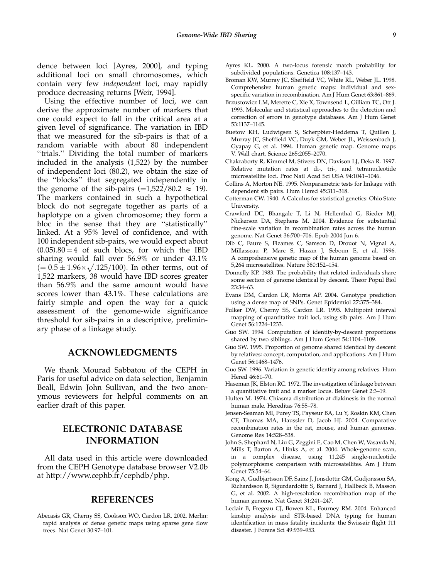dence between loci [Ayres, 2000], and typing additional loci on small chromosomes, which contain very few independent loci, may rapidly produce decreasing returns [Weir, 1994].

Using the effective number of loci, we can derive the approximate number of markers that one could expect to fall in the critical area at a given level of significance. The variation in IBD that we measured for the sib-pairs is that of a random variable with about 80 independent ''trials.'' Dividing the total number of markers included in the analysis (1,522) by the number of independent loci (80.2), we obtain the size of the ''blocks'' that segregated independently in the genome of the sib-pairs  $(=1,522/80.2 \approx 19)$ . The markers contained in such a hypothetical block do not segregate together as parts of a haplotype on a given chromosome; they form a bloc in the sense that they are ''statistically'' linked. At a 95% level of confidence, and with 100 independent sib-pairs, we would expect about  $(0.05)$ .80 = 4 of such blocs, for which the IBD sharing would fall over 56.9% or under 43.1%  $(= 0.5 \pm 1.96 \times \sqrt{0.125/100})$ . In other terms, out of 1,522 markers, 38 would have IBD scores greater than 56.9% and the same amount would have scores lower than 43.1%. These calculations are fairly simple and open the way for a quick assessment of the genome-wide significance threshold for sib-pairs in a descriptive, preliminary phase of a linkage study.

## ACKNOWLEDGMENTS

We thank Mourad Sabbatou of the CEPH in Paris for useful advice on data selection, Benjamin Beall, Edwin John Sullivan, and the two anonymous reviewers for helpful comments on an earlier draft of this paper.

## ELECTRONIC DATABASE INFORMATION

All data used in this article were downloaded from the CEPH Genotype database browser V2.0b at http://www.cephb.fr/cephdb/php.

### REFERENCES

Abecasis GR, Cherny SS, Cookson WO, Cardon LR. 2002. Merlin: rapid analysis of dense genetic maps using sparse gene flow trees. Nat Genet 30:97–101.

- Ayres KL. 2000. A two-locus forensic match probability for subdivided populations. Genetica 108:137–143.
- Broman KW, Murray JC, Sheffield VC, White RL, Weber JL. 1998. Comprehensive human genetic maps: individual and sexspecific variation in recombination. Am J Hum Genet 63:861–869.
- Brzustowicz LM, Merette C, Xie X, Townsend L, Gilliam TC, Ott J. 1993. Molecular and statistical approaches to the detection and correction of errors in genotype databases. Am J Hum Genet 53:1137–1145.
- Buetow KH, Ludwigsen S, Scherpbier-Heddema T, Quillen J, Murray JC, Sheffield VC, Duyk GM, Weber JL, Weissenbach J, Gyapay G, et al. 1994. Human genetic map. Genome maps V. Wall chart. Science 265:2055–2070.
- Chakraborty R, Kimmel M, Stivers DN, Davison LJ, Deka R. 1997. Relative mutation rates at di-, tri-, and tetranucleotide microsatellite loci. Proc Natl Acad Sci USA 94:1041–1046.
- Collins A, Morton NE. 1995. Nonparametric tests for linkage with dependent sib pairs. Hum Hered 45:311–318.
- Cotterman CW. 1940. A Calculus for statistical genetics: Ohio State University.
- Crawford DC, Bhangale T, Li N, Hellenthal G, Rieder MJ, Nickerson DA, Stephens M. 2004. Evidence for substantial fine-scale variation in recombination rates across the human genome. Nat Genet 36:700–706. Epub 2004 Jun 6.
- Dib C, Faure S, Fizames C, Samson D, Drouot N, Vignal A, Millasseau P, Marc S, Hazan J, Seboun E, et al. 1996. A comprehensive genetic map of the human genome based on 5,264 microsatellites. Nature 380:152–154.
- Donnelly KP. 1983. The probability that related individuals share some section of genome identical by descent. Theor Popul Biol 23:34–63.
- Evans DM, Cardon LR, Morris AP. 2004. Genotype prediction using a dense map of SNPs. Genet Epidemiol 27:375–384.
- Fulker DW, Cherny SS, Cardon LR. 1995. Multipoint interval mapping of quantitative trait loci, using sib pairs. Am J Hum Genet 56:1224–1233.
- Guo SW. 1994. Computation of identity-by-descent proportions shared by two siblings. Am J Hum Genet 54:1104–1109.
- Guo SW. 1995. Proportion of genome shared identical by descent by relatives: concept, computation, and applications. Am J Hum Genet 56:1468–1476.
- Guo SW. 1996. Variation in genetic identity among relatives. Hum Hered 46:61–70.
- Haseman JK, Elston RC. 1972. The investigation of linkage between a quantitative trait and a marker locus. Behav Genet 2:3–19.
- Hulten M. 1974. Chiasma distribution at diakinesis in the normal human male. Hereditas 76:55–78.
- Jensen-Seaman MI, Furey TS, Payseur BA, Lu Y, Roskin KM, Chen CF, Thomas MA, Haussler D, Jacob HJ. 2004. Comparative recombination rates in the rat, mouse, and human genomes. Genome Res 14:528–538.
- John S, Shephard N, Liu G, Zeggini E, Cao M, Chen W, Vasavda N, Mills T, Barton A, Hinks A, et al. 2004. Whole-genome scan, in a complex disease, using 11,245 single-nucleotide polymorphisms: comparison with microsatellites. Am J Hum Genet 75:54–64.
- Kong A, Gudbjartsson DF, Sainz J, Jonsdottir GM, Gudjonsson SA, Richardsson B, Sigurdardottir S, Barnard J, Hallbeck B, Masson G, et al. 2002. A high-resolution recombination map of the human genome. Nat Genet 31:241–247.
- Leclair B, Fregeau CJ, Bowen KL, Fourney RM. 2004. Enhanced kinship analysis and STR-based DNA typing for human identification in mass fatality incidents: the Swissair flight 111 disaster. J Forens Sci 49:939–953.